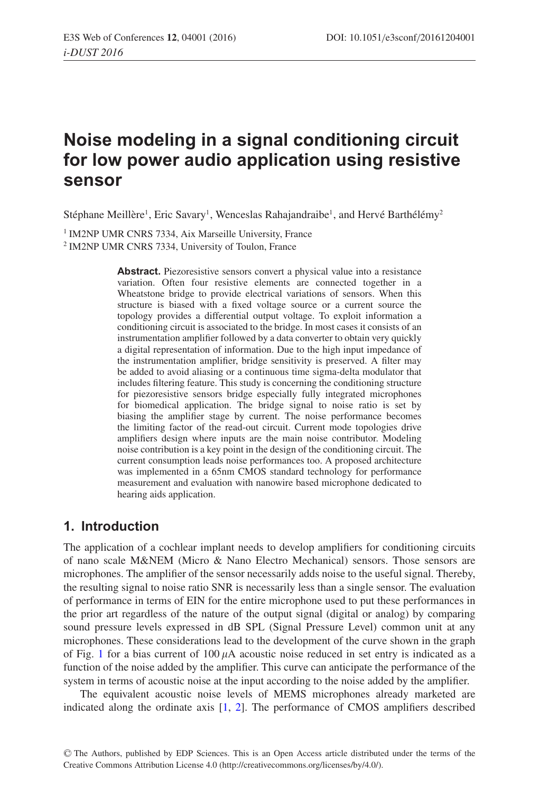# **Noise modeling in a signal conditioning circuit for low power audio application using resistive sensor**

Stéphane Meillère<sup>1</sup>, Eric Savary<sup>1</sup>, Wenceslas Rahajandraibe<sup>1</sup>, and Hervé Barthélémy<sup>2</sup>

<sup>1</sup> IM2NP UMR CNRS 7334, Aix Marseille University, France

<sup>2</sup> IM2NP UMR CNRS 7334, University of Toulon, France

Abstract. Piezoresistive sensors convert a physical value into a resistance variation. Often four resistive elements are connected together in a Wheatstone bridge to provide electrical variations of sensors. When this structure is biased with a fixed voltage source or a current source the topology provides a differential output voltage. To exploit information a conditioning circuit is associated to the bridge. In most cases it consists of an instrumentation amplifier followed by a data converter to obtain very quickly a digital representation of information. Due to the high input impedance of the instrumentation amplifier, bridge sensitivity is preserved. A filter may be added to avoid aliasing or a continuous time sigma-delta modulator that includes filtering feature. This study is concerning the conditioning structure for piezoresistive sensors bridge especially fully integrated microphones for biomedical application. The bridge signal to noise ratio is set by biasing the amplifier stage by current. The noise performance becomes the limiting factor of the read-out circuit. Current mode topologies drive amplifiers design where inputs are the main noise contributor. Modeling noise contribution is a key point in the design of the conditioning circuit. The current consumption leads noise performances too. A proposed architecture was implemented in a 65nm CMOS standard technology for performance measurement and evaluation with nanowire based microphone dedicated to hearing aids application.

## **1. Introduction**

The application of a cochlear implant needs to develop amplifiers for conditioning circuits of nano scale M&NEM (Micro & Nano Electro Mechanical) sensors. Those sensors are microphones. The amplifier of the sensor necessarily adds noise to the useful signal. Thereby, the resulting signal to noise ratio SNR is necessarily less than a single sensor. The evaluation of performance in terms of EIN for the entire microphone used to put these performances in the prior art regardless of the nature of the output signal (digital or analog) by comparing sound pressure levels expressed in dB SPL (Signal Pressure Level) common unit at any microphones. These considerations lead to the development of the curve shown in the graph of Fig. [1](#page-1-0) for a bias current of  $100 \mu A$  acoustic noise reduced in set entry is indicated as a function of the noise added by the amplifier. This curve can anticipate the performance of the system in terms of acoustic noise at the input according to the noise added by the amplifier.

The equivalent acoustic noise levels of MEMS microphones already marketed are indicated along the ordinate axis [\[1](#page-8-0), [2\]](#page-8-1). The performance of CMOS amplifiers described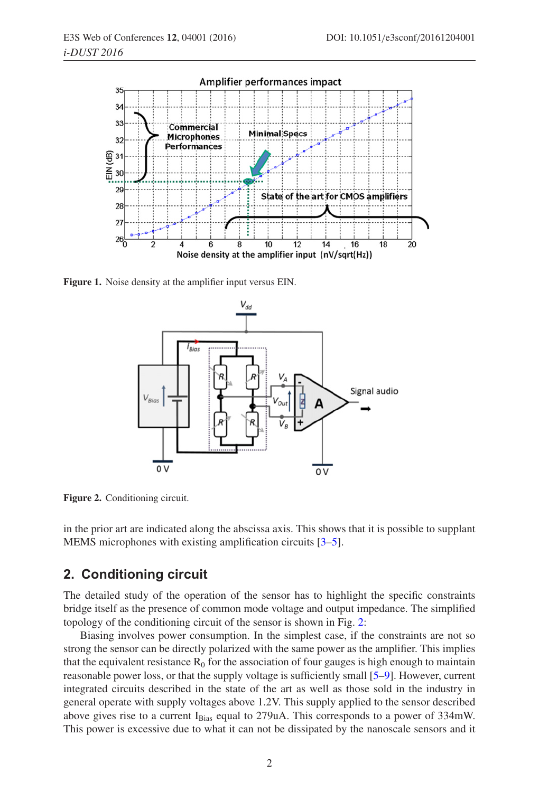<span id="page-1-0"></span>

<span id="page-1-1"></span>**Figure 1.** Noise density at the amplifier input versus EIN.



**Figure 2.** Conditioning circuit.

in the prior art are indicated along the abscissa axis. This shows that it is possible to supplant MEMS microphones with existing amplification circuits [\[3](#page-8-2)[–5\]](#page-8-3).

## **2. Conditioning circuit**

The detailed study of the operation of the sensor has to highlight the specific constraints bridge itself as the presence of common mode voltage and output impedance. The simplified topology of the conditioning circuit of the sensor is shown in Fig. [2:](#page-1-1)

Biasing involves power consumption. In the simplest case, if the constraints are not so strong the sensor can be directly polarized with the same power as the amplifier. This implies that the equivalent resistance  $R_0$  for the association of four gauges is high enough to maintain reasonable power loss, or that the supply voltage is sufficiently small [\[5](#page-8-3)[–9\]](#page-8-4). However, current integrated circuits described in the state of the art as well as those sold in the industry in general operate with supply voltages above 1.2V. This supply applied to the sensor described above gives rise to a current  $I_{Bias}$  equal to 279uA. This corresponds to a power of 334mW. This power is excessive due to what it can not be dissipated by the nanoscale sensors and it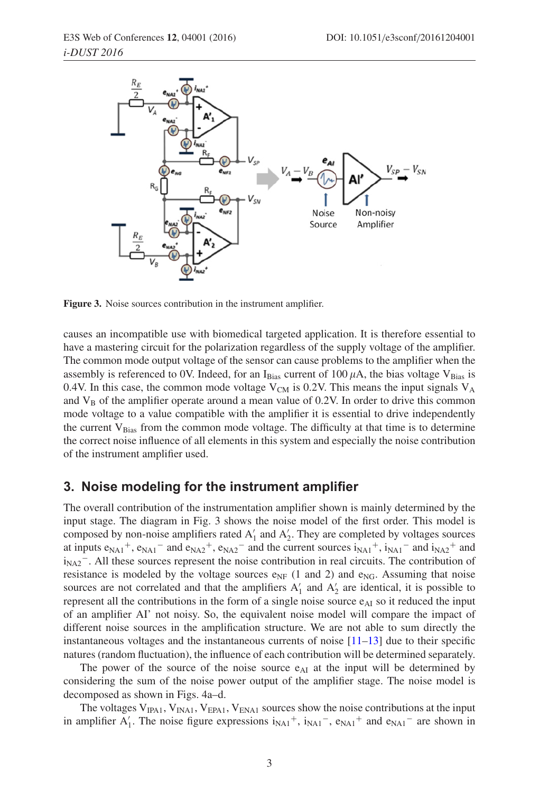

**Figure 3.** Noise sources contribution in the instrument amplifier.

causes an incompatible use with biomedical targeted application. It is therefore essential to have a mastering circuit for the polarization regardless of the supply voltage of the amplifier. The common mode output voltage of the sensor can cause problems to the amplifier when the assembly is referenced to 0V. Indeed, for an I<sub>Bias</sub> current of 100  $\mu$ A, the bias voltage V<sub>Bias</sub> is 0.4V. In this case, the common mode voltage  $V_{CM}$  is 0.2V. This means the input signals  $V_A$ and  $V_B$  of the amplifier operate around a mean value of 0.2V. In order to drive this common mode voltage to a value compatible with the amplifier it is essential to drive independently the current  $V_{Bias}$  from the common mode voltage. The difficulty at that time is to determine the correct noise influence of all elements in this system and especially the noise contribution of the instrument amplifier used.

## **3. Noise modeling for the instrument amplifier**

The overall contribution of the instrumentation amplifier shown is mainly determined by the input stage. The diagram in Fig. 3 shows the noise model of the first order. This model is composed by non-noise amplifiers rated  $A'_1$  and  $A'_2$ . They are completed by voltages sources at inputs  $e_{NA1}^+$ ,  $e_{NA1}^-$  and  $e_{NA2}^+$ ,  $e_{NA2}^-$  and the current sources  $i_{NA1}^+$ ,  $i_{NA1}^-$  and  $i_{NA2}^+$  and  $i_{NA2}$ <sup>-</sup>. All these sources represent the noise contribution in real circuits. The contribution of resistance is modeled by the voltage sources  $e_{NF}$  (1 and 2) and  $e_{NG}$ . Assuming that noise sources are not correlated and that the amplifiers  $A'_1$  and  $A'_2$  are identical, it is possible to represent all the contributions in the form of a single noise source  $e_{\text{Al}}$  so it reduced the input of an amplifier AI' not noisy. So, the equivalent noise model will compare the impact of different noise sources in the amplification structure. We are not able to sum directly the instantaneous voltages and the instantaneous currents of noise  $[11-13]$  $[11-13]$  due to their specific natures (random fluctuation), the influence of each contribution will be determined separately.

The power of the source of the noise source  $e_{\text{Al}}$  at the input will be determined by considering the sum of the noise power output of the amplifier stage. The noise model is decomposed as shown in Figs. 4a–d.

The voltages  $V_{IPA1}$ ,  $V_{INA1}$ ,  $V_{EPA1}$ ,  $V_{ENA1}$  sources show the noise contributions at the input in amplifier  $A'_1$ . The noise figure expressions  $i_{NA1}^+$ ,  $i_{NA1}^-$ ,  $e_{NA1}^+$  and  $e_{NA1}^-$  are shown in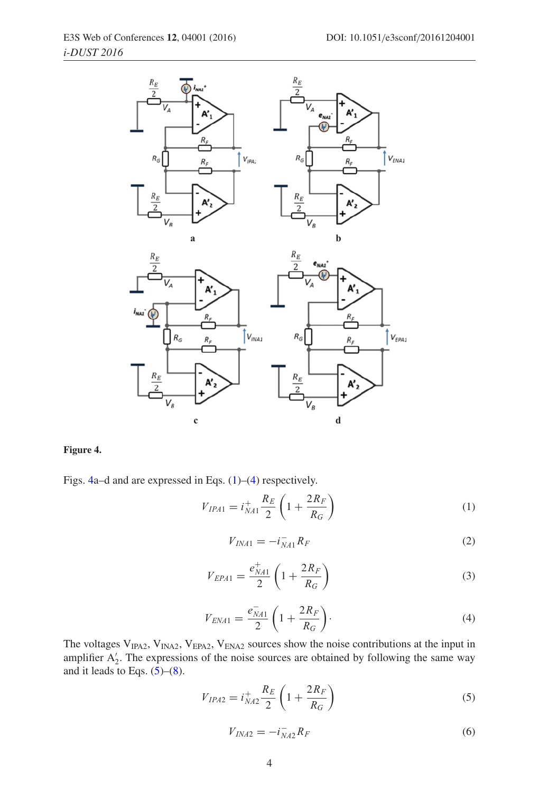<span id="page-3-0"></span>

#### **Figure 4.**

<span id="page-3-1"></span>Figs. [4a](#page-3-0)–d and are expressed in Eqs. [\(1\)](#page-3-1)–[\(4\)](#page-3-2) respectively.

$$
V_{IPA1} = i_{NA1}^+ \frac{R_E}{2} \left( 1 + \frac{2R_F}{R_G} \right)
$$
 (1)

$$
V_{INA1} = -i_{NA1}^- R_F \tag{2}
$$

$$
V_{EPA1} = \frac{e_{NA1}^+}{2} \left( 1 + \frac{2R_F}{R_G} \right)
$$
 (3)

$$
V_{ENA1} = \frac{e_{NA1}^{-}}{2} \left( 1 + \frac{2R_F}{R_G} \right).
$$
 (4)

<span id="page-3-3"></span><span id="page-3-2"></span>The voltages  $V_{IPA2}$ ,  $V_{INA2}$ ,  $V_{EPA2}$ ,  $V_{ENA2}$  sources show the noise contributions at the input in amplifier  $A'_2$ . The expressions of the noise sources are obtained by following the same way and it leads to Eqs.  $(5)-(8)$  $(5)-(8)$  $(5)-(8)$ .

$$
V_{IPA2} = i_{NA2}^{+} \frac{R_E}{2} \left( 1 + \frac{2R_F}{R_G} \right)
$$
 (5)

$$
V_{INA2} = -i_{NA2}^- R_F \tag{6}
$$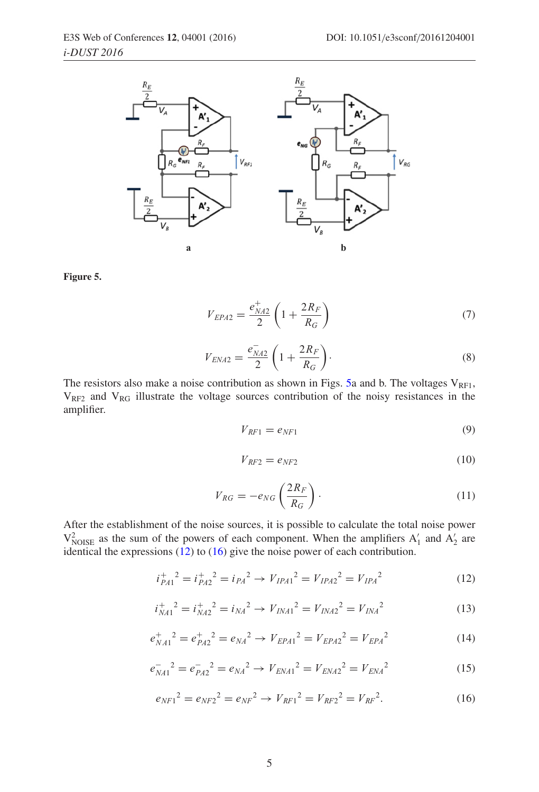<span id="page-4-1"></span>

**Figure 5.**

$$
V_{EPA2} = \frac{e_{NA2}^{+}}{2} \left( 1 + \frac{2R_F}{R_G} \right)
$$
 (7)

$$
V_{ENA2} = \frac{e_{NA2}^{-}}{2} \left( 1 + \frac{2R_F}{R_G} \right).
$$
 (8)

<span id="page-4-0"></span>The resistors also make a noise contribution as shown in Figs. [5a](#page-4-1) and b. The voltages  $V_{RF1}$ ,  $V_{RF2}$  and  $V_{RG}$  illustrate the voltage sources contribution of the noisy resistances in the amplifier.

$$
V_{RF1} = e_{NF1} \tag{9}
$$

$$
V_{RF2} = e_{NF2} \tag{10}
$$

$$
V_{RG} = -e_{NG} \left(\frac{2R_F}{R_G}\right). \tag{11}
$$

<span id="page-4-2"></span>After the establishment of the noise sources, it is possible to calculate the total noise power  $V_{\text{NOISE}}^2$  as the sum of the powers of each component. When the amplifiers  $A'_1$  and  $A'_2$  are identical the expressions [\(12\)](#page-4-2) to [\(16\)](#page-4-3) give the noise power of each contribution.

$$
i_{PA1}^{+2} = i_{PA2}^{+2} = i_{PA}^{2} \rightarrow V_{IPA1}^{2} = V_{IPA2}^{2} = V_{IPA}^{2}
$$
 (12)

$$
i_{NA1}^+{}^2 = i_{NA2}^+{}^2 = i_{NA}^2 \rightarrow V_{INA1}^2 = V_{INA2}^2 = V_{INA}^2 \tag{13}
$$

$$
e_{NA1}^+{}^2 = e_{PA2}^+{}^2 = e_{NA}^2 \rightarrow V_{EPA1}^2 = V_{EPA2}^2 = V_{EPA}^2 \tag{14}
$$

$$
e_{NA1}^{-2} = e_{PA2}^{-2} = e_{NA}^{2} \rightarrow V_{ENA1}^{2} = V_{ENA2}^{2} = V_{ENA}^{2}
$$
 (15)

<span id="page-4-3"></span>
$$
e_{NF1}{}^2 = e_{NF2}{}^2 = e_{NF}{}^2 \to V_{RF1}{}^2 = V_{RF2}{}^2 = V_{RF2}{}^2. \tag{16}
$$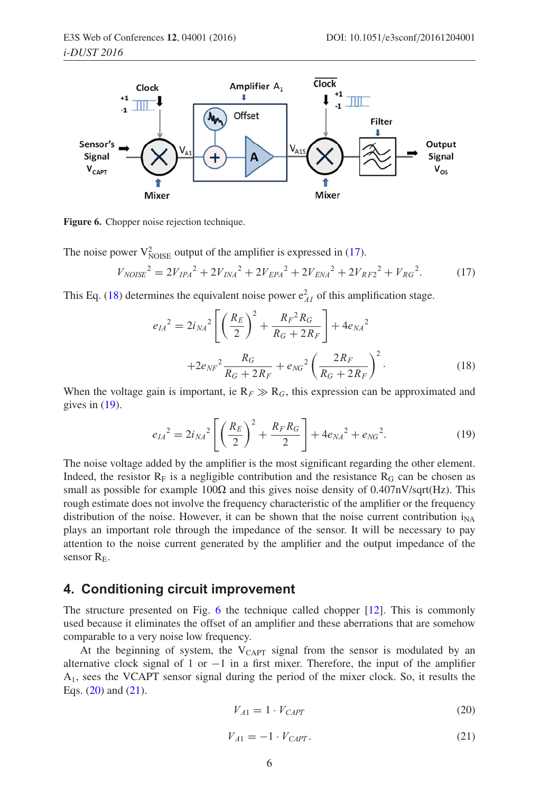<span id="page-5-3"></span>

**Figure 6.** Chopper noise rejection technique.

<span id="page-5-0"></span>The noise power  $V_{\text{NOISE}}^2$  output of the amplifier is expressed in [\(17\)](#page-5-0).

$$
V_{NOISE}^2 = 2V_{IPA}^2 + 2V_{INA}^2 + 2V_{EPA}^2 + 2V_{ENA}^2 + 2V_{RF2}^2 + V_{RG}^2.
$$
 (17)

<span id="page-5-1"></span>This Eq. [\(18\)](#page-5-1) determines the equivalent noise power  $e_{AI}^2$  of this amplification stage.

$$
e_{IA}^2 = 2i_{NA}^2 \left[ \left( \frac{R_E}{2} \right)^2 + \frac{R_F^2 R_G}{R_G + 2R_F} \right] + 4e_{NA}^2
$$
  
+2e\_{NF}^2 \frac{R\_G}{R\_G + 2R\_F} + e\_{NG}^2 \left( \frac{2R\_F}{R\_G + 2R\_F} \right)^2. (18)

When the voltage gain is important, ie  $R_F \gg R_G$ , this expression can be approximated and gives in  $(19)$ .

$$
e_{IA}{}^2 = 2i_{NA}{}^2 \left[ \left( \frac{R_E}{2} \right)^2 + \frac{R_F R_G}{2} \right] + 4e_{NA}{}^2 + e_{NG}{}^2. \tag{19}
$$

<span id="page-5-2"></span>The noise voltage added by the amplifier is the most significant regarding the other element. Indeed, the resistor  $R_F$  is a negligible contribution and the resistance  $R_G$  can be chosen as small as possible for example 100 $\Omega$  and this gives noise density of 0.407nV/sqrt(Hz). This rough estimate does not involve the frequency characteristic of the amplifier or the frequency distribution of the noise. However, it can be shown that the noise current contribution  $i_{NA}$ plays an important role through the impedance of the sensor. It will be necessary to pay attention to the noise current generated by the amplifier and the output impedance of the sensor  $R_F$ .

## **4. Conditioning circuit improvement**

The structure presented on Fig. [6](#page-5-3) the technique called chopper [\[12](#page-8-7)]. This is commonly used because it eliminates the offset of an amplifier and these aberrations that are somehow comparable to a very noise low frequency.

At the beginning of system, the  $V_{CAPT}$  signal from the sensor is modulated by an alternative clock signal of 1 or  $-1$  in a first mixer. Therefore, the input of the amplifier A1, sees the VCAPT sensor signal during the period of the mixer clock. So, it results the Eqs.  $(20)$  and  $(21)$ .

<span id="page-5-4"></span>
$$
V_{A1} = 1 \cdot V_{CAPT} \tag{20}
$$

<span id="page-5-5"></span>
$$
V_{A1} = -1 \cdot V_{CAPT}.\tag{21}
$$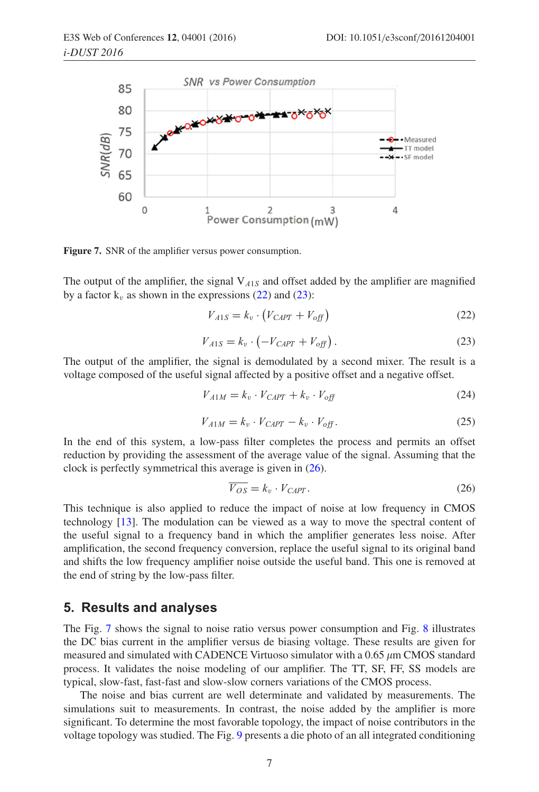<span id="page-6-3"></span>

**Figure 7.** SNR of the amplifier versus power consumption.

<span id="page-6-0"></span>The output of the amplifier, the signal  $V_{A1S}$  and offset added by the amplifier are magnified by a factor  $k_v$  as shown in the expressions [\(22\)](#page-6-0) and [\(23\)](#page-6-1):

$$
V_{A1S} = k_v \cdot (V_{CAPT} + V_{off}) \tag{22}
$$

$$
V_{A1S} = k_v \cdot \left( -V_{CAPT} + V_{off} \right). \tag{23}
$$

<span id="page-6-1"></span>The output of the amplifier, the signal is demodulated by a second mixer. The result is a voltage composed of the useful signal affected by a positive offset and a negative offset.

$$
V_{A1M} = k_v \cdot V_{CAPT} + k_v \cdot V_{off}
$$
 (24)

$$
V_{A1M} = k_v \cdot V_{CAPT} - k_v \cdot V_{off}.
$$
\n
$$
(25)
$$

In the end of this system, a low-pass filter completes the process and permits an offset reduction by providing the assessment of the average value of the signal. Assuming that the clock is perfectly symmetrical this average is given in [\(26\)](#page-6-2).

<span id="page-6-2"></span>
$$
\overline{V_{OS}} = k_v \cdot V_{CAPT}.\tag{26}
$$

This technique is also applied to reduce the impact of noise at low frequency in CMOS technology [\[13\]](#page-8-6). The modulation can be viewed as a way to move the spectral content of the useful signal to a frequency band in which the amplifier generates less noise. After amplification, the second frequency conversion, replace the useful signal to its original band and shifts the low frequency amplifier noise outside the useful band. This one is removed at the end of string by the low-pass filter.

## **5. Results and analyses**

The Fig. [7](#page-6-3) shows the signal to noise ratio versus power consumption and Fig. [8](#page-7-0) illustrates the DC bias current in the amplifier versus de biasing voltage. These results are given for measured and simulated with CADENCE Virtuoso simulator with a 0.65  $\mu$ m CMOS standard process. It validates the noise modeling of our amplifier. The TT, SF, FF, SS models are typical, slow-fast, fast-fast and slow-slow corners variations of the CMOS process.

The noise and bias current are well determinate and validated by measurements. The simulations suit to measurements. In contrast, the noise added by the amplifier is more significant. To determine the most favorable topology, the impact of noise contributors in the voltage topology was studied. The Fig. [9](#page-7-1) presents a die photo of an all integrated conditioning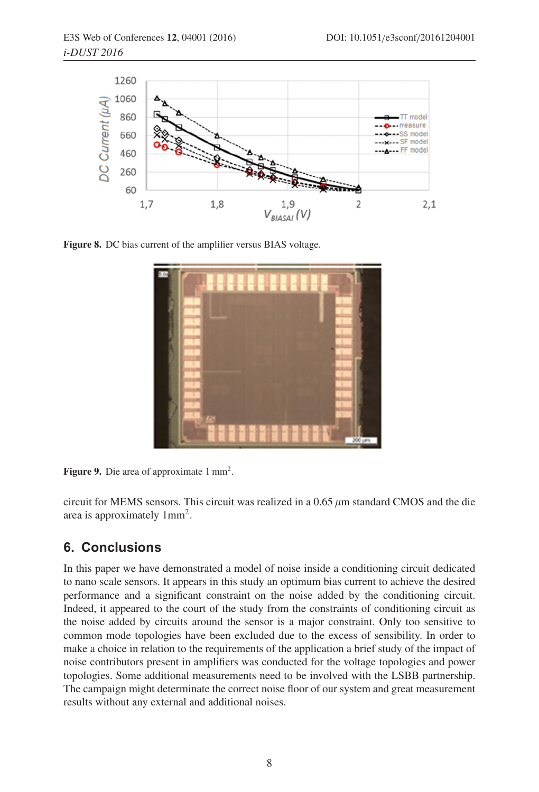<span id="page-7-0"></span>

**Figure 8.** DC bias current of the amplifier versus BIAS voltage.

<span id="page-7-1"></span>

Figure 9. Die area of approximate 1 mm<sup>2</sup>.

circuit for MEMS sensors. This circuit was realized in a  $0.65 \mu m$  standard CMOS and the die area is approximately 1mm2.

## **6. Conclusions**

In this paper we have demonstrated a model of noise inside a conditioning circuit dedicated to nano scale sensors. It appears in this study an optimum bias current to achieve the desired performance and a significant constraint on the noise added by the conditioning circuit. Indeed, it appeared to the court of the study from the constraints of conditioning circuit as the noise added by circuits around the sensor is a major constraint. Only too sensitive to common mode topologies have been excluded due to the excess of sensibility. In order to make a choice in relation to the requirements of the application a brief study of the impact of noise contributors present in amplifiers was conducted for the voltage topologies and power topologies. Some additional measurements need to be involved with the LSBB partnership. The campaign might determinate the correct noise floor of our system and great measurement results without any external and additional noises.